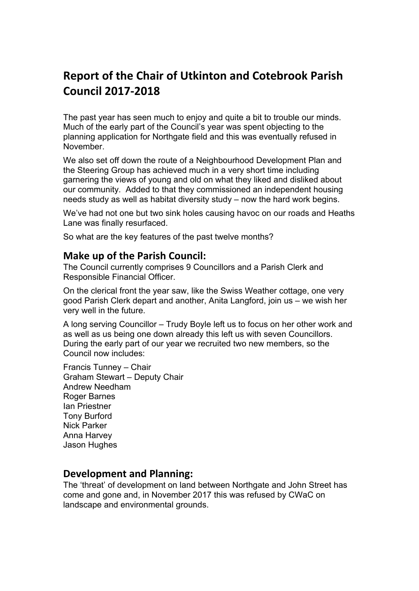# **Report of the Chair of Utkinton and Cotebrook Parish Council 2017-2018**

The past year has seen much to enjoy and quite a bit to trouble our minds. Much of the early part of the Council's year was spent objecting to the planning application for Northgate field and this was eventually refused in November.

We also set off down the route of a Neighbourhood Development Plan and the Steering Group has achieved much in a very short time including garnering the views of young and old on what they liked and disliked about our community. Added to that they commissioned an independent housing needs study as well as habitat diversity study – now the hard work begins.

We've had not one but two sink holes causing havoc on our roads and Heaths Lane was finally resurfaced.

So what are the key features of the past twelve months?

### **Make up of the Parish Council:**

The Council currently comprises 9 Councillors and a Parish Clerk and Responsible Financial Officer.

On the clerical front the year saw, like the Swiss Weather cottage, one very good Parish Clerk depart and another, Anita Langford, join us – we wish her very well in the future.

A long serving Councillor – Trudy Boyle left us to focus on her other work and as well as us being one down already this left us with seven Councillors. During the early part of our year we recruited two new members, so the Council now includes:

Francis Tunney – Chair Graham Stewart – Deputy Chair Andrew Needham Roger Barnes Ian Priestner Tony Burford Nick Parker Anna Harvey Jason Hughes

### **Development and Planning:**

The 'threat' of development on land between Northgate and John Street has come and gone and, in November 2017 this was refused by CWaC on landscape and environmental grounds.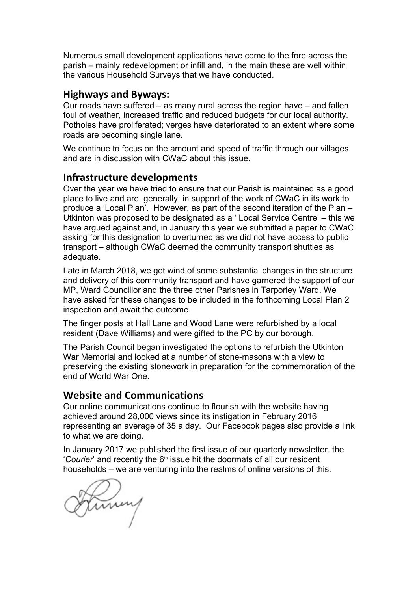Numerous small development applications have come to the fore across the parish – mainly redevelopment or infill and, in the main these are well within the various Household Surveys that we have conducted.

## **Highways and Byways:**

Our roads have suffered – as many rural across the region have – and fallen foul of weather, increased traffic and reduced budgets for our local authority. Potholes have proliferated; verges have deteriorated to an extent where some roads are becoming single lane.

We continue to focus on the amount and speed of traffic through our villages and are in discussion with CWaC about this issue.

#### **Infrastructure developments**

Over the year we have tried to ensure that our Parish is maintained as a good place to live and are, generally, in support of the work of CWaC in its work to produce a 'Local Plan'. However, as part of the second iteration of the Plan – Utkinton was proposed to be designated as a ' Local Service Centre' – this we have argued against and, in January this year we submitted a paper to CWaC asking for this designation to overturned as we did not have access to public transport – although CWaC deemed the community transport shuttles as adequate.

Late in March 2018, we got wind of some substantial changes in the structure and delivery of this community transport and have garnered the support of our MP, Ward Councillor and the three other Parishes in Tarporley Ward. We have asked for these changes to be included in the forthcoming Local Plan 2 inspection and await the outcome.

The finger posts at Hall Lane and Wood Lane were refurbished by a local resident (Dave Williams) and were gifted to the PC by our borough.

The Parish Council began investigated the options to refurbish the Utkinton War Memorial and looked at a number of stone-masons with a view to preserving the existing stonework in preparation for the commemoration of the end of World War One.

#### **Website and Communications**

Our online communications continue to flourish with the website having achieved around 28,000 views since its instigation in February 2016 representing an average of 35 a day. Our Facebook pages also provide a link to what we are doing.

In January 2017 we published the first issue of our quarterly newsletter, the 'Courier' and recently the 6<sup>th</sup> issue hit the doormats of all our resident households – we are venturing into the realms of online versions of this.

Stiming